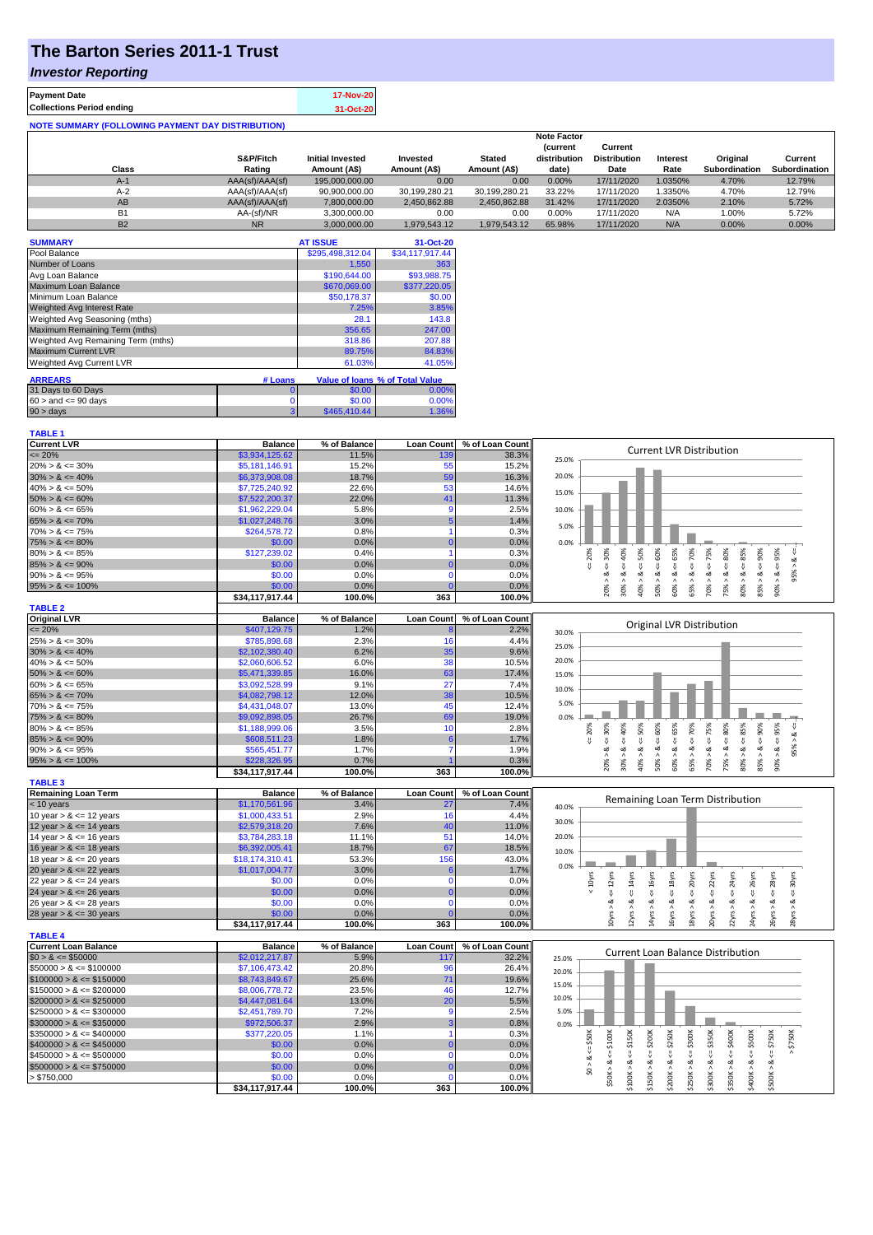# **The Barton Series 2011-1 Trust**

#### *Investor Reporting*

**TABLE 1**

| <b>Payment Date</b>                                      | 17-Nov-20 |
|----------------------------------------------------------|-----------|
| <b>Collections Period ending</b>                         | 31-Oct-20 |
| <b>NOTE SUMMARY (FOLLOWING PAYMENT DAY DISTRIBUTION)</b> |           |

|           |                 |                         |               |               | <b>Note Factor</b> |                     |                 |                      |               |
|-----------|-----------------|-------------------------|---------------|---------------|--------------------|---------------------|-----------------|----------------------|---------------|
|           |                 |                         |               |               | <b>Current</b>     | Current             |                 |                      |               |
|           | S&P/Fitch       | <b>Initial Invested</b> | Invested      | <b>Stated</b> | distribution       | <b>Distribution</b> | <b>Interest</b> | Original             | Current       |
| Class     | Rating          | Amount (A\$)            | Amount (A\$)  | Amount (A\$)  | date)              | Date                | Rate            | <b>Subordination</b> | Subordination |
| $A-1$     | AAA(sf)/AAA(sf) | 195,000,000.00          | 0.00          | 0.00          | 0.00%              | 17/11/2020          | .0350%          | 4.70%                | 12.79%        |
| $A-2$     | AAA(sf)/AAA(sf) | 90,900,000.00           | 30.199.280.21 | 30.199.280.21 | 33.22%             | 17/11/2020          | .3350%          | 4.70%                | 12.79%        |
| AB        | AAA(sf)/AAA(sf) | 7.800.000.00            | 2.450.862.88  | 2.450.862.88  | 31.42%             | 17/11/2020          | 2.0350%         | 2.10%                | 5.72%         |
| <b>B1</b> | AA-(sf)/NR      | 3.300.000.00            | 0.00          | 0.00          | 0.00%              | 17/11/2020          | N/A             | 1.00%                | 5.72%         |
| <b>B2</b> | <b>NR</b>       | 3.000.000.00            | 1.979.543.12  | 1.979.543.12  | 65.98%             | 17/11/2020          | N/A             | 0.00%                | 0.00%         |

| <b>SUMMARY</b>                     |         | <b>AT ISSUE</b>  | 31-Oct-20                       |
|------------------------------------|---------|------------------|---------------------------------|
| Pool Balance                       |         | \$295,498,312.04 | \$34,117,917.44                 |
| Number of Loans                    |         | 1,550            | 363                             |
| Avg Loan Balance                   |         | \$190,644.00     | \$93,988.75                     |
| Maximum Loan Balance               |         | \$670,069.00     | \$377,220.05                    |
| Minimum Loan Balance               |         | \$50,178.37      | \$0.00                          |
| <b>Weighted Avg Interest Rate</b>  |         | 7.25%            | 3.85%                           |
| Weighted Avg Seasoning (mths)      |         | 28.1             | 143.8                           |
| Maximum Remaining Term (mths)      |         | 356.65           | 247.00                          |
| Weighted Avg Remaining Term (mths) |         | 318.86           | 207.88                          |
| <b>Maximum Current LVR</b>         |         | 89.75%           | 84.83%                          |
| <b>Weighted Avg Current LVR</b>    |         | 61.03%           | 41.05%                          |
| <b>ARREARS</b>                     | # Loans |                  | Value of Ioans % of Total Value |
| 31 Days to 60 Days                 | 0       | \$0.00           | 0.00%                           |
| $60 >$ and $\leq 90$ days          | 0       | \$0.00           | 0.00%                           |
| 90 > days                          | 3       | \$465,410.44     | 1.36%                           |

| <b>Current LVR</b>          | <b>Balance</b>  | % of Balance | <b>Loan Count</b> | % of Loan Count | <b>Current LVR Distribution</b>                                                                                                                                                                         |
|-----------------------------|-----------------|--------------|-------------------|-----------------|---------------------------------------------------------------------------------------------------------------------------------------------------------------------------------------------------------|
| $= 20%$                     | \$3,934,125.62  | 11.5%        | 139               | 38.3%           | 25.0%                                                                                                                                                                                                   |
| $20\% > 8 \le 30\%$         | \$5,181,146.91  | 15.2%        | 55                | 15.2%           |                                                                                                                                                                                                         |
| $30\% > 8 \le 40\%$         | \$6,373,908.08  | 18.7%        | 59                | 16.3%           | 20.0%                                                                                                                                                                                                   |
| $40\% > 8 \le 50\%$         | \$7,725,240.92  | 22.6%        | 53                | 14.6%           |                                                                                                                                                                                                         |
| $50\% > 8 \le 60\%$         | \$7,522,200.37  | 22.0%        | 41                | 11.3%           | 15.0%                                                                                                                                                                                                   |
| $60\% > 8 \le 65\%$         | \$1,962,229.04  | 5.8%         | 9                 | 2.5%            | 10.0%                                                                                                                                                                                                   |
| $65\% > 8 \le 70\%$         | \$1,027,248.76  | 3.0%         |                   | 1.4%            |                                                                                                                                                                                                         |
| $70\% > 8 \le 75\%$         | \$264,578.72    | 0.8%         |                   | 0.3%            | 5.0%                                                                                                                                                                                                    |
| $75\% > 8 \le 80\%$         | \$0.00          | 0.0%         | $\Omega$          | 0.0%            | 0.0%                                                                                                                                                                                                    |
| $80\% > 8 \le 85\%$         | \$127,239.02    | 0.4%         |                   | 0.3%            | $4 = 30\%$<br>$40\%$<br>50%<br>$4 = 75\%$<br>80%<br>₩                                                                                                                                                   |
| $85\% > 8 \le 90\%$         | \$0.00          | 0.0%         |                   | 0.0%            | $4 = 70\%$<br>$4 = 20\%$<br>$\dot{\infty}$<br>$\overset{  }{\mathsf{v}}$                                                                                                                                |
| $90\% > 8 \le 95\%$         | \$0.00          | 0.0%         | $\Omega$          | 0.0%            | $<=60%$<br>$<=65%$<br>$80\% > 8 <= 85\%$<br>$90\% > 8 <= 95\%$<br>$85\% > 8 <= 90\%$<br>8 < 1<br>95%<br>$\dot{\infty}$<br>œ<br>ø<br>ઌ<br>ಷ                                                              |
| $95\% > 8 \le 100\%$        | \$0.00          | 0.0%         |                   | 0.0%            | 50% ><br>60% ><br>65% ><br>70% ><br>75% ><br>20% >                                                                                                                                                      |
|                             | \$34,117,917.44 | 100.0%       | 363               | 100.0%          | $40\%$ $>$<br>30%                                                                                                                                                                                       |
| <b>TABLE 2</b>              |                 |              |                   |                 |                                                                                                                                                                                                         |
| <b>Original LVR</b>         | <b>Balance</b>  | % of Balance | <b>Loan Count</b> | % of Loan Count |                                                                                                                                                                                                         |
| $= 20%$                     | \$407,129.75    | 1.2%         |                   | 2.2%            | Original LVR Distribution                                                                                                                                                                               |
| $25\% > 8 \le 30\%$         | \$785,898.68    | 2.3%         | 16                | 4.4%            | 30.0%                                                                                                                                                                                                   |
| $30\% > 8 \le 40\%$         | \$2,102,380.40  | 6.2%         | 35                | 9.6%            | 25.0%                                                                                                                                                                                                   |
|                             |                 |              | 38                |                 | 20.0%                                                                                                                                                                                                   |
| $40\% > 8 \le 50\%$         | \$2,060,606.52  | 6.0%         |                   | 10.5%           |                                                                                                                                                                                                         |
| $50\% > 8 \le 60\%$         | \$5,471,339.85  | 16.0%        | 63                | 17.4%           | 15.0%                                                                                                                                                                                                   |
| $60\% > 8 \le 65\%$         | \$3,092,528.99  | 9.1%         | 27                | 7.4%            | 10.0%                                                                                                                                                                                                   |
| $65\% > 8 \le 70\%$         | \$4,082,798.12  | 12.0%        | 38                | 10.5%           | 5.0%                                                                                                                                                                                                    |
| $70\% > 8 \le 75\%$         | \$4,431,048.07  | 13.0%        | 45                | 12.4%           |                                                                                                                                                                                                         |
| $75\% > 8 \le 80\%$         | \$9,092,898.05  | 26.7%        | 69                | 19.0%           | 0.0%                                                                                                                                                                                                    |
| $80\% > 8 \le 85\%$         | \$1,188,999.06  | 3.5%         | 10                | 2.8%            | $\&\leq 60\%$<br>$<=65%$<br>$8 - 70%$<br>$80\% > 8 <= 85\%$<br>$\leq 30\%$<br>$8 < = 50\%$<br>$8 < = 75\%$<br>$8 - 80%$<br>$85% > 8 < = 90%$<br>$90\% > 8 <= 95\%$<br>20%<br>$8 - 40%$<br>V             |
| $85\% > 8 \le 90\%$         | \$608,511.23    | 1.8%         | 6                 | 1.7%            | 95% > 8.<br>Ū                                                                                                                                                                                           |
| $90\% > 8 \le 95\%$         | \$565,451.77    | 1.7%         |                   | 1.9%            | ∞                                                                                                                                                                                                       |
| $95\% > 8 \le 100\%$        | \$228,326.95    | 0.7%         |                   | 0.3%            | 50% ><br>20% ><br>30% ><br>$40\%$ $>$<br>60% ><br>$65\%$ ><br>70% ><br>75% >                                                                                                                            |
|                             | \$34,117,917.44 | 100.0%       | 363               | 100.0%          |                                                                                                                                                                                                         |
| <b>TABLE 3</b>              |                 |              |                   |                 |                                                                                                                                                                                                         |
| <b>Remaining Loan Term</b>  | <b>Balance</b>  | % of Balance | <b>Loan Count</b> | % of Loan Count | Remaining Loan Term Distribution                                                                                                                                                                        |
| < 10 years                  | \$1,170,561.96  | 3.4%         | 27                | 7.4%            | 40.0%                                                                                                                                                                                                   |
| 10 year $> 8 \le 12$ years  | \$1,000,433.51  | 2.9%         | 16                | 4.4%            | 30.0%                                                                                                                                                                                                   |
| 12 year $> 8 \le 14$ years  | \$2,579,318.20  | 7.6%         | 40                | 11.0%           |                                                                                                                                                                                                         |
| 14 year $> 8 \le 16$ years  | \$3,784,283.18  | 11.1%        | 51                | 14.0%           | 20.0%                                                                                                                                                                                                   |
| 16 year $> 8 \le 18$ years  | \$6,392,005.41  | 18.7%        | 67                | 18.5%           | 10.0%                                                                                                                                                                                                   |
| 18 year $> 8 \le 20$ years  | \$18,174,310.41 | 53.3%        | 156               | 43.0%           | 0.0%                                                                                                                                                                                                    |
| 20 year $> 8 \le 22$ years  | \$1,017,004.77  | 3.0%         | 6                 | 1.7%            |                                                                                                                                                                                                         |
| 22 year $> 8 \le 24$ years  | \$0.00          | 0.0%         | $\Omega$          | 0.0%            | $\leq$ 14 $\gamma$ rs<br>$\leq 16$ yrs<br>$\leq 20$ yrs<br>$\epsilon$ = 22 $\gamma$ rs<br>$\leq$ 18 $\gamma$ rs<br>$\leq$ = 24yrs<br>26yrs<br>$\epsilon$ = 28 $\gamma$ rs<br>$4 = 30$ yrs<br>$< 10$ yrs |
| 24 year $> 8 \le 26$ years  | \$0.00          | 0.0%         | $\Omega$          | 0.0%            | ₹                                                                                                                                                                                                       |
| 26 year $> 8 \le 28$ years  | \$0.00          | 0.0%         | $\Omega$          | 0.0%            |                                                                                                                                                                                                         |
| 28 year $> 8 \le 30$ years  | \$0.00          | 0.0%         |                   | 0.0%            | 0yrs > 8c < 12yrs<br>2yrs > 8<br>28yrs > 8<br>20yrs > 8<br>22yrs > 8<br>$24yrs > 8$ .<br>4yrs > 8<br>$8 <$ su/g<br>18yrs > 8<br>26yrs > 8                                                               |
|                             | \$34,117,917.44 | 100.0%       | 363               | 100.0%          |                                                                                                                                                                                                         |
| <b>TABLE 4</b>              |                 |              |                   |                 |                                                                                                                                                                                                         |
| <b>Current Loan Balance</b> | <b>Balance</b>  | % of Balance | <b>Loan Count</b> | % of Loan Count | <b>Current Loan Balance Distribution</b>                                                                                                                                                                |
| $$0 > 8 \leq $50000$        | \$2,012,217.87  | 5.9%         | 117               | 32.2%           | 25.0%                                                                                                                                                                                                   |
| $$50000 > 8 \le $100000$    | \$7,106,473.42  | 20.8%        | 96                | 26.4%           | 20.0%                                                                                                                                                                                                   |
| $$100000 > 8 \leq $150000$  | \$8,743,849.67  | 25.6%        | 71                | 19.6%           |                                                                                                                                                                                                         |
| $$150000 > 8 \leq $200000$  | \$8,006,778.72  | 23.5%        | 46                | 12.7%           | 15.0%                                                                                                                                                                                                   |
| $$200000 > 8 \leq $250000$  | \$4,447,081.64  | 13.0%        | 20                | 5.5%            | 10.0%                                                                                                                                                                                                   |
| $$250000 > 8 \leq $300000$  | \$2,451,789.70  | 7.2%         | $\mathbf{Q}$      | 2.5%            | 5.0%                                                                                                                                                                                                    |
| $$300000 > 8 \leq $350000$  | \$972,506.37    | 2.9%         |                   | 0.8%            | 0.0%                                                                                                                                                                                                    |
| $$350000 > 8 \leq $400000$  | \$377,220.05    | 1.1%         |                   | 0.3%            |                                                                                                                                                                                                         |
| $$400000 > 8 \leq $450000$  | \$0.00          | 0.0%         |                   | 0.0%            | <b>\$150K</b><br>\$200K<br>$4 = $250K$<br>$4 = $300K$<br>$4 = $350K$<br>$<=$ \$50K<br>$\leq$ \$400K<br>$\leq$ \$500K<br>$4 = $750K$<br>\$750K                                                           |
| $$450000 > 8 \leq $500000$  | \$0.00          | 0.0%         | $\Omega$          | 0.0%            | ₩<br>IJ,                                                                                                                                                                                                |
| $$500000 > 8 \leq $750000$  | \$0.00          | 0.0%         |                   | 0.0%            | \$0 > 8                                                                                                                                                                                                 |
| > \$750,000                 | \$0.00          | 0.0%         |                   | 0.0%            | $$50K > 8 \leftarrow $100K$<br>\$250K > 8<br>\$350K > 8<br>\$500K > 8<br>\$100K > 8<br>\$150K > 8<br>\$200K > 8<br>\$300K > 8<br>\$400K > 8                                                             |
|                             | \$34,117,917.44 | 100.0%       | 363               | 100.0%          |                                                                                                                                                                                                         |
|                             |                 |              |                   |                 |                                                                                                                                                                                                         |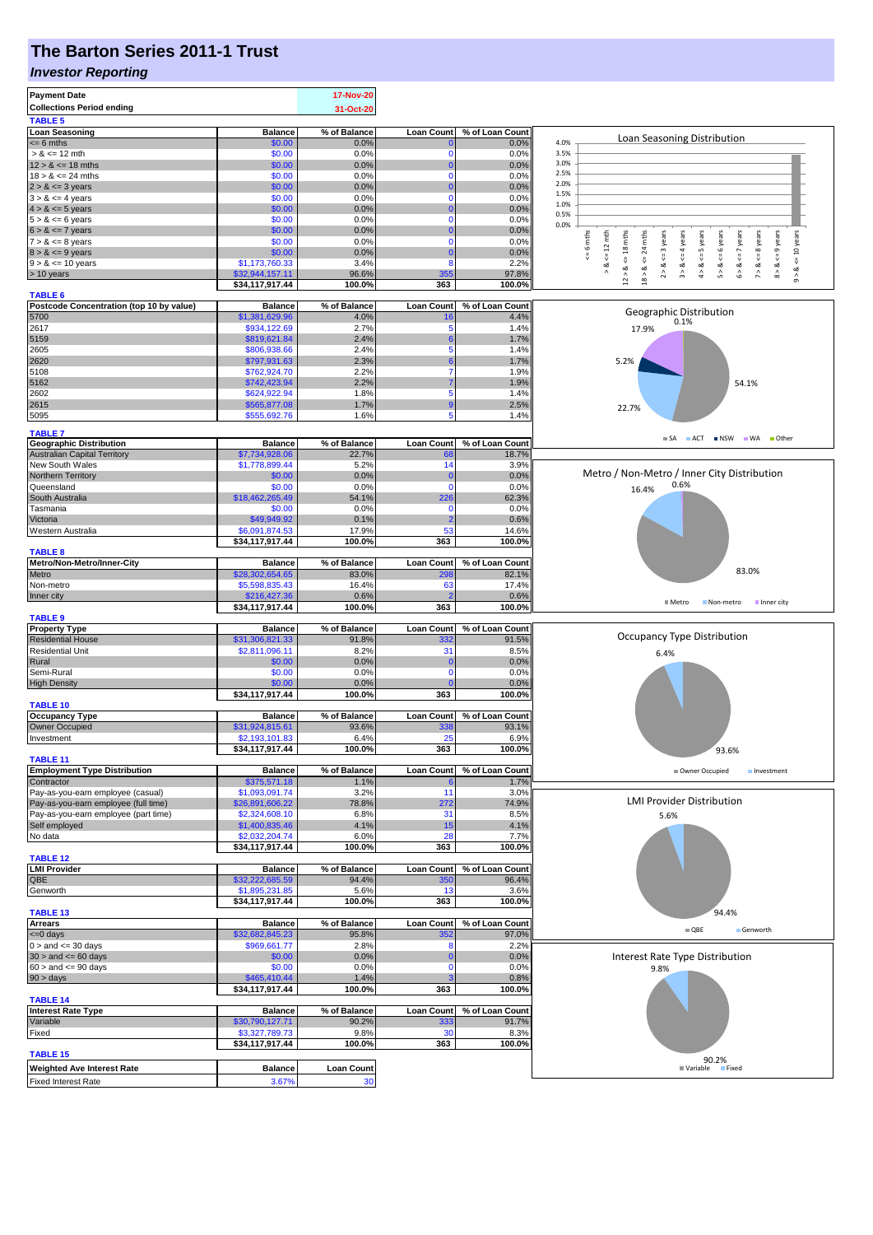### **The Barton Series 2011-1 Trust**

#### *Investor Reporting*

| <b>Payment Date</b><br><b>Collections Period ending</b><br><b>TABLE 5</b> |                                   | <b>17-Nov-20</b><br>31-Oct-20 |                   |                          |                                                                                                                                                                                                                           |  |  |
|---------------------------------------------------------------------------|-----------------------------------|-------------------------------|-------------------|--------------------------|---------------------------------------------------------------------------------------------------------------------------------------------------------------------------------------------------------------------------|--|--|
| <b>Loan Seasoning</b>                                                     | <b>Balance</b>                    | % of Balance                  | <b>Loan Count</b> | % of Loan Count          |                                                                                                                                                                                                                           |  |  |
| $= 6$ mths                                                                | \$0.00                            | 0.0%                          |                   | 0.0%                     | Loan Seasoning Distribution<br>4.0%                                                                                                                                                                                       |  |  |
| $> 8 \le 12$ mth                                                          | \$0.00                            | 0.0%                          | $\Omega$          | 0.0%                     | 3.5%                                                                                                                                                                                                                      |  |  |
| $12 > 8 \le 18$ mths                                                      | \$0.00                            | 0.0%                          | O                 | 0.0%                     | 3.0%                                                                                                                                                                                                                      |  |  |
| $18 > 8 \le 24$ mths                                                      | \$0.00                            | 0.0%                          | $\Omega$          | 0.0%                     | 2.5%<br>2.0%                                                                                                                                                                                                              |  |  |
| $2 > 8 \le 3$ years                                                       | \$0.00                            | 0.0%                          |                   | 0.0%                     | 1.5%                                                                                                                                                                                                                      |  |  |
| $3 > 8 \le 4$ years                                                       | \$0.00                            | 0.0%                          | $\Omega$          | 0.0%                     | 1.0%                                                                                                                                                                                                                      |  |  |
| $4 > 8 \le 5$ years                                                       | \$0.00                            | 0.0%                          | $\Omega$          | 0.0%                     | 0.5%                                                                                                                                                                                                                      |  |  |
| $5 > 8 \le 6$ years<br>$6 > 8 \le 7$ years                                | \$0.00<br>\$0.00                  | 0.0%<br>0.0%                  | 0                 | 0.0%<br>0.0%             | 0.0%                                                                                                                                                                                                                      |  |  |
| $7 > 8 \le 8$ years                                                       | \$0.00                            | 0.0%                          | 0                 | 0.0%                     | 6 mths<br>mths<br>$\leq 12$ mth<br>$<=$ 3 years<br>& $\leq$ = 4 years                                                                                                                                                     |  |  |
| $8 > 8 \le 9$ years                                                       | \$0.00                            | 0.0%                          |                   | 0.0%                     | 24                                                                                                                                                                                                                        |  |  |
| $9 > 8 \le 10$ years                                                      | \$1,173,760.33                    | 3.4%                          | 8                 | 2.2%                     | $<=$                                                                                                                                                                                                                      |  |  |
| > 10 years                                                                | \$32,944,157.11                   | 96.6%                         | 355               | 97.8%                    | $9 > 8 < 10$ years<br>$12 > 8$ <= 18 mths<br>$4 > 8 < z = 5$ years<br>$5 > 8 <$ <= 6 years<br>$6 > 8 < z < 7$ years<br>$7 > 8 < 8$ years<br>$8 > 8 < = 9$ years<br>∞<br>$\wedge$<br>$\hat{2}$<br>$\stackrel{\wedge}{\pi}$ |  |  |
|                                                                           | \$34,117,917.44                   | 100.0%                        | 363               | 100.0%                   | $18$ $\geq$                                                                                                                                                                                                               |  |  |
| <b>TABLE 6</b>                                                            |                                   |                               |                   |                          |                                                                                                                                                                                                                           |  |  |
| Postcode Concentration (top 10 by value)                                  | <b>Balance</b>                    | % of Balance                  | <b>Loan Count</b> | % of Loan Count          | Geographic Distribution                                                                                                                                                                                                   |  |  |
| 5700                                                                      | \$1,381,629.96                    | 4.0%                          | 16                | 4.4%                     | 0.1%                                                                                                                                                                                                                      |  |  |
| 2617                                                                      | \$934,122.69                      | 2.7%                          | 5                 | 1.4%                     | 17.9%                                                                                                                                                                                                                     |  |  |
| 5159                                                                      | \$819,621.84                      | 2.4%                          | 5                 | 1.7%                     |                                                                                                                                                                                                                           |  |  |
| 2605<br>2620                                                              | \$806,938.66<br>\$797,931.63      | 2.4%<br>2.3%                  |                   | 1.4%<br>1.7%             |                                                                                                                                                                                                                           |  |  |
| 5108                                                                      | \$762,924.70                      | 2.2%                          |                   | 1.9%                     | 5.2%                                                                                                                                                                                                                      |  |  |
| 5162                                                                      | \$742,423.94                      | 2.2%                          |                   | 1.9%                     | 54.1%                                                                                                                                                                                                                     |  |  |
| 2602                                                                      | \$624,922.94                      | 1.8%                          | 5                 | 1.4%                     |                                                                                                                                                                                                                           |  |  |
| 2615                                                                      | \$565,877.08                      | 1.7%                          | 9                 | 2.5%                     |                                                                                                                                                                                                                           |  |  |
| 5095                                                                      | \$555,692.76                      | 1.6%                          | 5                 | 1.4%                     | 22.7%                                                                                                                                                                                                                     |  |  |
|                                                                           |                                   |                               |                   |                          |                                                                                                                                                                                                                           |  |  |
| <b>TABLE 7</b>                                                            |                                   |                               |                   |                          | SA ACT NSW WA Other                                                                                                                                                                                                       |  |  |
| <b>Geographic Distribution</b>                                            | <b>Balance</b><br>\$7,734,928.06  | % of Balance<br>22.7%         | <b>Loan Count</b> | % of Loan Count<br>18.7% |                                                                                                                                                                                                                           |  |  |
| Australian Capital Territory<br>New South Wales                           | \$1,778,899.44                    | 5.2%                          | 68<br>14          | 3.9%                     |                                                                                                                                                                                                                           |  |  |
| Northern Territory                                                        | \$0.00                            | 0.0%                          | 0                 | 0.0%                     | Metro / Non-Metro / Inner City Distribution                                                                                                                                                                               |  |  |
| Queensland                                                                | \$0.00                            | 0.0%                          | n                 | 0.0%                     | 0.6%                                                                                                                                                                                                                      |  |  |
| South Australia                                                           | \$18,462,265.49                   | 54.1%                         | 226               | 62.3%                    | 16.4%                                                                                                                                                                                                                     |  |  |
| Tasmania                                                                  | \$0.00                            | 0.0%                          | $\Omega$          | 0.0%                     |                                                                                                                                                                                                                           |  |  |
| Victoria                                                                  | \$49,949.92                       | 0.1%                          | 2                 | 0.6%                     |                                                                                                                                                                                                                           |  |  |
| Western Australia                                                         | \$6,091,874.53                    | 17.9%                         | 53                | 14.6%                    |                                                                                                                                                                                                                           |  |  |
|                                                                           | \$34,117,917.44                   | 100.0%                        | 363               | 100.0%                   |                                                                                                                                                                                                                           |  |  |
| <b>TABLE 8</b>                                                            |                                   |                               |                   |                          |                                                                                                                                                                                                                           |  |  |
| Metro/Non-Metro/Inner-City                                                | <b>Balance</b>                    | % of Balance                  | <b>Loan Count</b> | % of Loan Count          |                                                                                                                                                                                                                           |  |  |
| Metro                                                                     | \$28,302,654.65                   | 83.0%                         | 298               | 82.1%                    | 83.0%                                                                                                                                                                                                                     |  |  |
| Non-metro                                                                 | \$5,598,835.43                    | 16.4%                         | 63                | 17.4%                    |                                                                                                                                                                                                                           |  |  |
| Inner city                                                                | \$216,427.36                      | 0.6%                          |                   | 0.6%                     | ■ Metro<br>Non-metro<br>Inner city                                                                                                                                                                                        |  |  |
| <b>TABLE 9</b>                                                            | \$34,117,917.44                   | 100.0%                        | 363               | 100.0%                   |                                                                                                                                                                                                                           |  |  |
| <b>Property Type</b>                                                      | <b>Balance</b>                    | % of Balance                  | <b>Loan Count</b> | % of Loan Count          |                                                                                                                                                                                                                           |  |  |
| <b>Residential House</b>                                                  | \$31,306,821.33                   | 91.8%                         | 332               | 91.5%                    | Occupancy Type Distribution                                                                                                                                                                                               |  |  |
| <b>Residential Unit</b>                                                   | \$2,811,096.11                    | 8.2%                          | 31                | 8.5%                     |                                                                                                                                                                                                                           |  |  |
| Rural                                                                     | \$0.00                            | 0.0%                          | O                 | 0.0%                     | 6.4%                                                                                                                                                                                                                      |  |  |
| Semi-Rural                                                                | \$0.00                            | 0.0%                          | 0                 | 0.0%                     |                                                                                                                                                                                                                           |  |  |
| <b>High Density</b>                                                       | \$0.00                            | 0.0%                          |                   | 0.0%                     |                                                                                                                                                                                                                           |  |  |
|                                                                           | \$34,117,917.44                   |                               | 363               | 100.0%                   |                                                                                                                                                                                                                           |  |  |
|                                                                           |                                   | 100.0%                        |                   |                          |                                                                                                                                                                                                                           |  |  |
| TABLE 10                                                                  |                                   |                               |                   |                          |                                                                                                                                                                                                                           |  |  |
| <b>Occupancy Type</b>                                                     | <b>Balance</b>                    | % of Balance                  | <b>Loan Count</b> | % of Loan Count          |                                                                                                                                                                                                                           |  |  |
| Owner Occupied                                                            | \$31,924,815.61                   | 93.6%                         | 338               | 93.1%                    |                                                                                                                                                                                                                           |  |  |
| Investment                                                                | \$2,193,101.83                    | 6.4%                          | 25                | 6.9%                     |                                                                                                                                                                                                                           |  |  |
|                                                                           | \$34,117,917.44                   | 100.0%                        | 363               | 100.0%                   | 93.6%                                                                                                                                                                                                                     |  |  |
| <b>TABLE 11</b>                                                           |                                   |                               |                   |                          |                                                                                                                                                                                                                           |  |  |
| <b>Employment Type Distribution</b>                                       | <b>Balance</b>                    | % of Balance                  | <b>Loan Count</b> | % of Loan Count          | Owner Occupied<br>Investment                                                                                                                                                                                              |  |  |
| Contractor                                                                | \$375,571.18                      | 1.1%                          | 11                | 1.7%                     |                                                                                                                                                                                                                           |  |  |
| Pay-as-you-earn employee (casual)                                         | \$1,093,091.74<br>\$26,891,606.22 | 3.2%<br>78.8%                 |                   | 3.0%<br>74.9%            | <b>LMI Provider Distribution</b>                                                                                                                                                                                          |  |  |
| Pay-as-you-earn employee (full time)                                      | \$2,324,608.10                    | 6.8%                          | 272<br>31         |                          |                                                                                                                                                                                                                           |  |  |
| Pay-as-you-earn employee (part time)<br>Self employed                     | \$1,400,835.46                    | 4.1%                          | 15                | 8.5%<br>4.1%             | 5.6%                                                                                                                                                                                                                      |  |  |
| No data                                                                   | \$2,032,204.74                    | 6.0%                          | 28                | 7.7%                     |                                                                                                                                                                                                                           |  |  |
|                                                                           | \$34,117,917.44                   | 100.0%                        | 363               | 100.0%                   |                                                                                                                                                                                                                           |  |  |
| <b>TABLE 12</b>                                                           |                                   |                               |                   |                          |                                                                                                                                                                                                                           |  |  |
| <b>LMI Provider</b>                                                       | <b>Balance</b>                    | % of Balance                  | <b>Loan Count</b> | % of Loan Count          |                                                                                                                                                                                                                           |  |  |
| QBE                                                                       | \$32,222,685.59                   | 94.4%                         | 350               | 96.4%                    |                                                                                                                                                                                                                           |  |  |
| Genworth                                                                  | \$1,895,231.85                    | 5.6%                          | 13                | 3.6%                     |                                                                                                                                                                                                                           |  |  |
|                                                                           | \$34,117,917.44                   | 100.0%                        | 363               | 100.0%                   |                                                                                                                                                                                                                           |  |  |
| <b>TABLE 13</b>                                                           |                                   |                               |                   |                          | 94.4%                                                                                                                                                                                                                     |  |  |
| <b>Arrears</b>                                                            | <b>Balance</b>                    | % of Balance                  | <b>Loan Count</b> | % of Loan Count          | $\blacksquare$ QBE<br>Genworth                                                                                                                                                                                            |  |  |
| $\leq 0$ days                                                             | \$32,682,845.23                   | 95.8%                         | 352<br>F          | 97.0%                    |                                                                                                                                                                                                                           |  |  |
| $0 >$ and $\leq$ 30 days                                                  | \$969,661.77                      | 2.8%                          |                   | 2.2%                     |                                                                                                                                                                                                                           |  |  |
| $30 >$ and $\leq 60$ days                                                 | \$0.00                            | 0.0%                          | $\Omega$          | 0.0%                     | Interest Rate Type Distribution                                                                                                                                                                                           |  |  |
| $60 >$ and $\leq 90$ days                                                 | \$0.00<br>\$465,410.44            | 0.0%<br>1.4%                  |                   | 0.0%<br>0.8%             | 9.8%                                                                                                                                                                                                                      |  |  |
| 90 > days                                                                 | \$34,117,917.44                   | 100.0%                        | 363               | 100.0%                   |                                                                                                                                                                                                                           |  |  |
| <b>TABLE 14</b>                                                           |                                   |                               |                   |                          |                                                                                                                                                                                                                           |  |  |
| <b>Interest Rate Type</b>                                                 | <b>Balance</b>                    | % of Balance                  | <b>Loan Count</b> | % of Loan Count          |                                                                                                                                                                                                                           |  |  |
| Variable                                                                  | \$30,790,127.71                   | 90.2%                         | 333               | 91.7%                    |                                                                                                                                                                                                                           |  |  |
| Fixed                                                                     | \$3,327,789.73                    | 9.8%                          | 30                | 8.3%                     |                                                                                                                                                                                                                           |  |  |
|                                                                           | \$34,117,917.44                   | 100.0%                        | 363               | 100.0%                   |                                                                                                                                                                                                                           |  |  |
| <b>TABLE 15</b>                                                           |                                   |                               |                   |                          | 90.2%                                                                                                                                                                                                                     |  |  |
| <b>Weighted Ave Interest Rate</b><br><b>Fixed Interest Rate</b>           | <b>Balance</b><br>3.67%           | <b>Loan Count</b><br>30       |                   |                          | <b>■ Variable</b><br>Fixed                                                                                                                                                                                                |  |  |